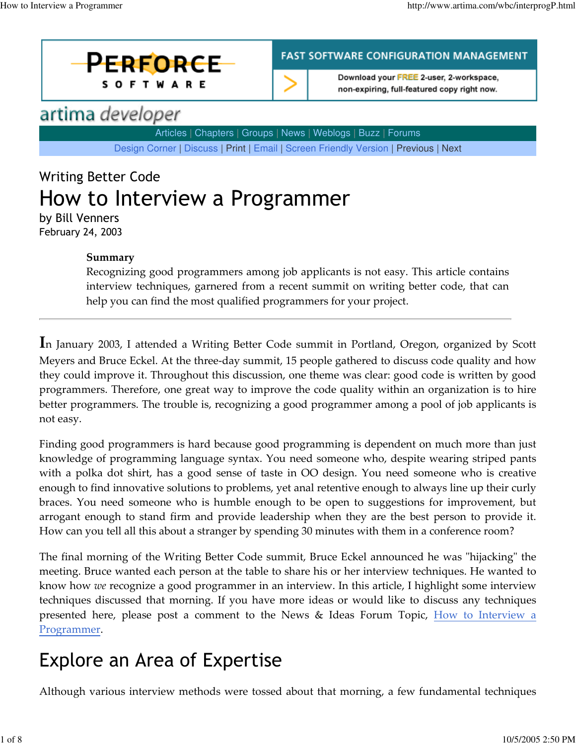



**FAST SOFTWARE CONFIGURATION MANAGEMENT** 

Download your FREE 2-user, 2-workspace, non-expiring, full-featured copy right now.

## artima developer

Articles | Chapters | Groups | News | Weblogs | Buzz | Forums

Design Corner | Discuss | Print | Email | Screen Friendly Version | Previous | Next

# Writing Better Code How to Interview a Programmer

by Bill Venners February 24, 2003

#### Summary

Recognizing good programmers among job applicants is not easy. This article contains interview techniques, garnered from a recent summit on writing better code, that can help you can find the most qualified programmers for your project.

In January 2003, I attended a Writing Better Code summit in Portland, Oregon, organized by Scott Meyers and Bruce Eckel. At the three-day summit, 15 people gathered to discuss code quality and how they could improve it. Throughout this discussion, one theme was clear: good code is written by good programmers. Therefore, one great way to improve the code quality within an organization is to hire better programmers. The trouble is, recognizing a good programmer among a pool of job applicants is not easy.

Finding good programmers is hard because good programming is dependent on much more than just knowledge of programming language syntax. You need someone who, despite wearing striped pants with a polka dot shirt, has a good sense of taste in OO design. You need someone who is creative enough to find innovative solutions to problems, yet anal retentive enough to always line up their curly braces. You need someone who is humble enough to be open to suggestions for improvement, but arrogant enough to stand firm and provide leadership when they are the best person to provide it. How can you tell all this about a stranger by spending 30 minutes with them in a conference room?

The final morning of the Writing Better Code summit, Bruce Eckel announced he was "hijacking" the meeting. Bruce wanted each person at the table to share his or her interview techniques. He wanted to know how we recognize a good programmer in an interview. In this article, I highlight some interview techniques discussed that morning. If you have more ideas or would like to discuss any techniques presented here, please post a comment to the News & Ideas Forum Topic, **How to Interview a** Programmer.

## Explore an Area of Expertise

Although various interview methods were tossed about that morning, a few fundamental techniques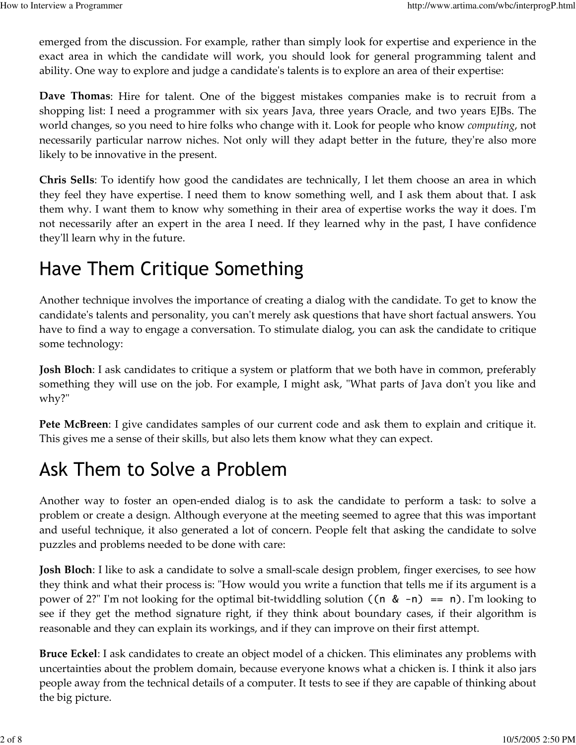emerged from the discussion. For example, rather than simply look for expertise and experience in the exact area in which the candidate will work, you should look for general programming talent and ability. One way to explore and judge a candidate's talents is to explore an area of their expertise:

Dave Thomas: Hire for talent. One of the biggest mistakes companies make is to recruit from a shopping list: I need a programmer with six years Java, three years Oracle, and two years EJBs. The world changes, so you need to hire folks who change with it. Look for people who know *computing*, not necessarily particular narrow niches. Not only will they adapt better in the future, they're also more likely to be innovative in the present.

Chris Sells: To identify how good the candidates are technically, I let them choose an area in which they feel they have expertise. I need them to know something well, and I ask them about that. I ask them why. I want them to know why something in their area of expertise works the way it does. I'm not necessarily after an expert in the area I need. If they learned why in the past, I have confidence they'll learn why in the future.

## Have Them Critique Something

Another technique involves the importance of creating a dialog with the candidate. To get to know the candidate's talents and personality, you can't merely ask questions that have short factual answers. You have to find a way to engage a conversation. To stimulate dialog, you can ask the candidate to critique some technology:

**Josh Bloch**: I ask candidates to critique a system or platform that we both have in common, preferably something they will use on the job. For example, I might ask, "What parts of Java don't you like and why?"

Pete McBreen: I give candidates samples of our current code and ask them to explain and critique it. This gives me a sense of their skills, but also lets them know what they can expect.

## Ask Them to Solve a Problem

Another way to foster an open-ended dialog is to ask the candidate to perform a task: to solve a problem or create a design. Although everyone at the meeting seemed to agree that this was important and useful technique, it also generated a lot of concern. People felt that asking the candidate to solve puzzles and problems needed to be done with care:

**Josh Bloch**: I like to ask a candidate to solve a small-scale design problem, finger exercises, to see how they think and what their process is: "How would you write a function that tells me if its argument is a power of 2?" I'm not looking for the optimal bit-twiddling solution  $((n \& -n) == n)$ . I'm looking to see if they get the method signature right, if they think about boundary cases, if their algorithm is reasonable and they can explain its workings, and if they can improve on their first attempt.

**Bruce Eckel**: I ask candidates to create an object model of a chicken. This eliminates any problems with uncertainties about the problem domain, because everyone knows what a chicken is. I think it also jars people away from the technical details of a computer. It tests to see if they are capable of thinking about the big picture.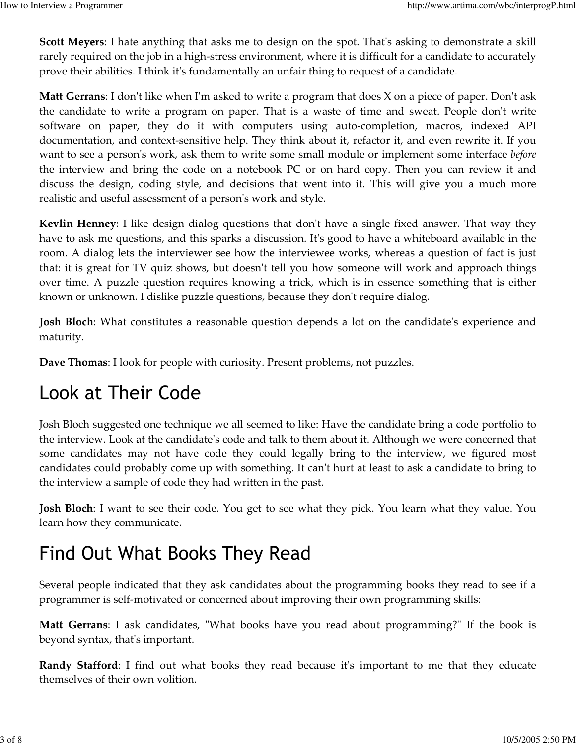Scott Meyers: I hate anything that asks me to design on the spot. That's asking to demonstrate a skill rarely required on the job in a high-stress environment, where it is difficult for a candidate to accurately prove their abilities. I think it's fundamentally an unfair thing to request of a candidate.

Matt Gerrans: I don't like when I'm asked to write a program that does X on a piece of paper. Don't ask the candidate to write a program on paper. That is a waste of time and sweat. People don't write software on paper, they do it with computers using auto-completion, macros, indexed API documentation, and context-sensitive help. They think about it, refactor it, and even rewrite it. If you want to see a person's work, ask them to write some small module or implement some interface before the interview and bring the code on a notebook PC or on hard copy. Then you can review it and discuss the design, coding style, and decisions that went into it. This will give you a much more realistic and useful assessment of a person's work and style.

Kevlin Henney: I like design dialog questions that don't have a single fixed answer. That way they have to ask me questions, and this sparks a discussion. It's good to have a whiteboard available in the room. A dialog lets the interviewer see how the interviewee works, whereas a question of fact is just that: it is great for TV quiz shows, but doesn't tell you how someone will work and approach things over time. A puzzle question requires knowing a trick, which is in essence something that is either known or unknown. I dislike puzzle questions, because they don't require dialog.

**Josh Bloch**: What constitutes a reasonable question depends a lot on the candidate's experience and maturity.

Dave Thomas: I look for people with curiosity. Present problems, not puzzles.

#### Look at Their Code

Josh Bloch suggested one technique we all seemed to like: Have the candidate bring a code portfolio to the interview. Look at the candidate's code and talk to them about it. Although we were concerned that some candidates may not have code they could legally bring to the interview, we figured most candidates could probably come up with something. It can't hurt at least to ask a candidate to bring to the interview a sample of code they had written in the past.

Josh Bloch: I want to see their code. You get to see what they pick. You learn what they value. You learn how they communicate.

## Find Out What Books They Read

Several people indicated that they ask candidates about the programming books they read to see if a programmer is self-motivated or concerned about improving their own programming skills:

Matt Gerrans: I ask candidates, "What books have you read about programming?" If the book is beyond syntax, that's important.

Randy Stafford: I find out what books they read because it's important to me that they educate themselves of their own volition.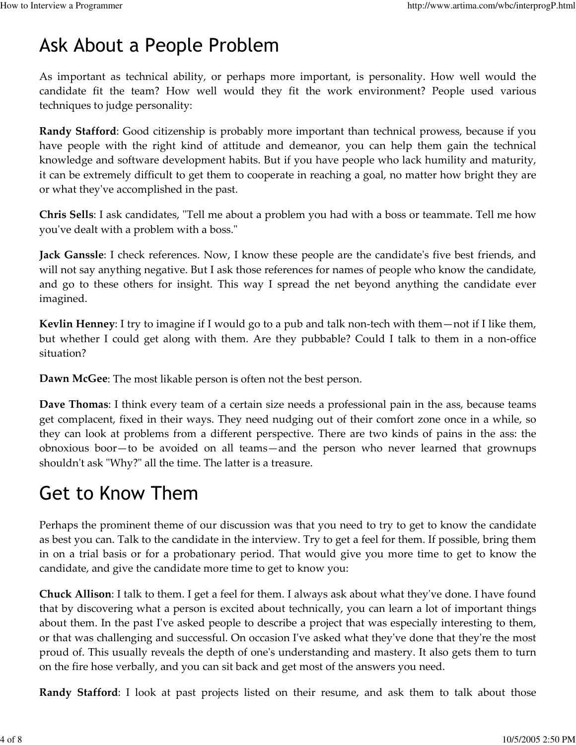### Ask About a People Problem

As important as technical ability, or perhaps more important, is personality. How well would the candidate fit the team? How well would they fit the work environment? People used various techniques to judge personality:

Randy Stafford: Good citizenship is probably more important than technical prowess, because if you have people with the right kind of attitude and demeanor, you can help them gain the technical knowledge and software development habits. But if you have people who lack humility and maturity, it can be extremely difficult to get them to cooperate in reaching a goal, no matter how bright they are or what they've accomplished in the past.

Chris Sells: I ask candidates, "Tell me about a problem you had with a boss or teammate. Tell me how you've dealt with a problem with a boss."

Jack Ganssle: I check references. Now, I know these people are the candidate's five best friends, and will not say anything negative. But I ask those references for names of people who know the candidate, and go to these others for insight. This way I spread the net beyond anything the candidate ever imagined.

Kevlin Henney: I try to imagine if I would go to a pub and talk non-tech with them—not if I like them, but whether I could get along with them. Are they pubbable? Could I talk to them in a non-office situation?

Dawn McGee: The most likable person is often not the best person.

Dave Thomas: I think every team of a certain size needs a professional pain in the ass, because teams get complacent, fixed in their ways. They need nudging out of their comfort zone once in a while, so they can look at problems from a different perspective. There are two kinds of pains in the ass: the obnoxious boor—to be avoided on all teams—and the person who never learned that grownups shouldn't ask "Why?" all the time. The latter is a treasure.

## Get to Know Them

Perhaps the prominent theme of our discussion was that you need to try to get to know the candidate as best you can. Talk to the candidate in the interview. Try to get a feel for them. If possible, bring them in on a trial basis or for a probationary period. That would give you more time to get to know the candidate, and give the candidate more time to get to know you:

Chuck Allison: I talk to them. I get a feel for them. I always ask about what they've done. I have found that by discovering what a person is excited about technically, you can learn a lot of important things about them. In the past I've asked people to describe a project that was especially interesting to them, or that was challenging and successful. On occasion I've asked what they've done that they're the most proud of. This usually reveals the depth of one's understanding and mastery. It also gets them to turn on the fire hose verbally, and you can sit back and get most of the answers you need.

**Randy Stafford**: I look at past projects listed on their resume, and ask them to talk about those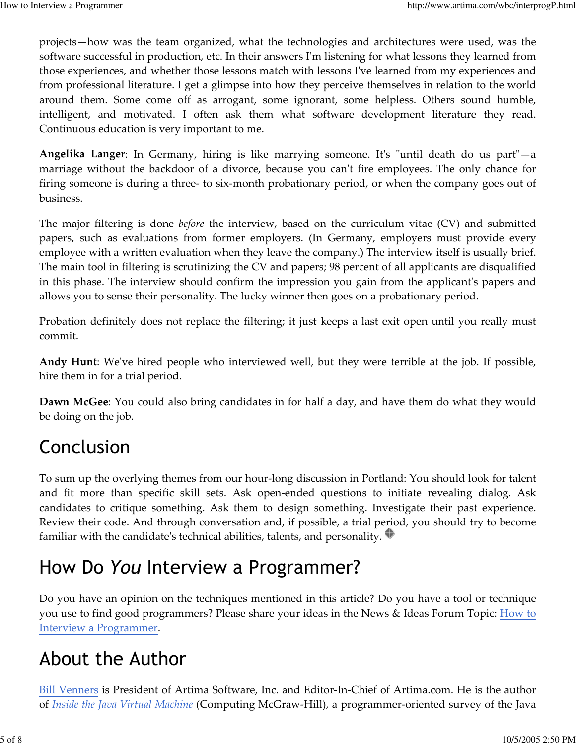projects—how was the team organized, what the technologies and architectures were used, was the software successful in production, etc. In their answers I'm listening for what lessons they learned from those experiences, and whether those lessons match with lessons I've learned from my experiences and from professional literature. I get a glimpse into how they perceive themselves in relation to the world around them. Some come off as arrogant, some ignorant, some helpless. Others sound humble, intelligent, and motivated. I often ask them what software development literature they read. Continuous education is very important to me.

Angelika Langer: In Germany, hiring is like marrying someone. It's "until death do us part"—a marriage without the backdoor of a divorce, because you can't fire employees. The only chance for firing someone is during a three- to six-month probationary period, or when the company goes out of business.

The major filtering is done *before* the interview, based on the curriculum vitae (CV) and submitted papers, such as evaluations from former employers. (In Germany, employers must provide every employee with a written evaluation when they leave the company.) The interview itself is usually brief. The main tool in filtering is scrutinizing the CV and papers; 98 percent of all applicants are disqualified in this phase. The interview should confirm the impression you gain from the applicant's papers and allows you to sense their personality. The lucky winner then goes on a probationary period.

Probation definitely does not replace the filtering; it just keeps a last exit open until you really must commit.

Andy Hunt: We've hired people who interviewed well, but they were terrible at the job. If possible, hire them in for a trial period.

**Dawn McGee:** You could also bring candidates in for half a day, and have them do what they would be doing on the job.

## Conclusion

To sum up the overlying themes from our hour-long discussion in Portland: You should look for talent and fit more than specific skill sets. Ask open-ended questions to initiate revealing dialog. Ask candidates to critique something. Ask them to design something. Investigate their past experience. Review their code. And through conversation and, if possible, a trial period, you should try to become familiar with the candidate's technical abilities, talents, and personality.  $\blacksquare$ 

## How Do You Interview a Programmer?

Do you have an opinion on the techniques mentioned in this article? Do you have a tool or technique you use to find good programmers? Please share your ideas in the News & Ideas Forum Topic: How to Interview a Programmer.

### About the Author

Bill Venners is President of Artima Software, Inc. and Editor-In-Chief of Artima.com. He is the author of Inside the Java Virtual Machine (Computing McGraw-Hill), a programmer-oriented survey of the Java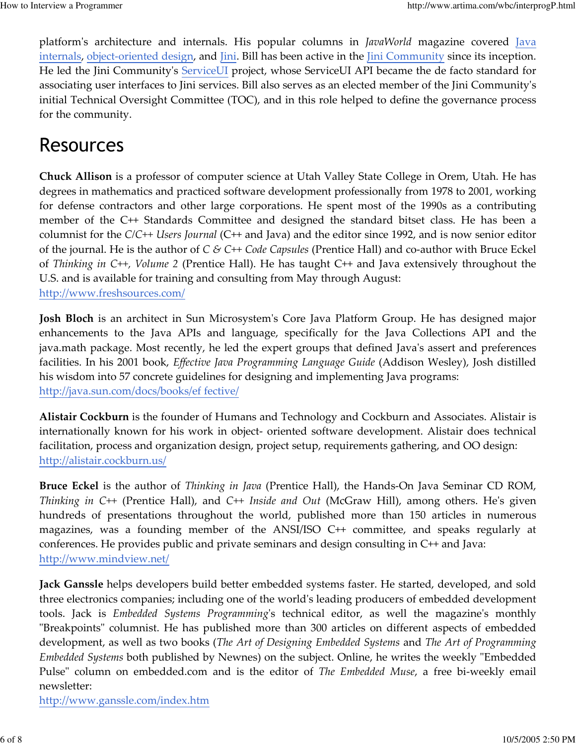platform's architecture and internals. His popular columns in JavaWorld magazine covered Java internals, object-oriented design, and Jini. Bill has been active in the Jini Community since its inception. He led the Jini Community's ServiceUI project, whose ServiceUI API became the de facto standard for associating user interfaces to Jini services. Bill also serves as an elected member of the Jini Community's initial Technical Oversight Committee (TOC), and in this role helped to define the governance process for the community.

#### Resources

Chuck Allison is a professor of computer science at Utah Valley State College in Orem, Utah. He has degrees in mathematics and practiced software development professionally from 1978 to 2001, working for defense contractors and other large corporations. He spent most of the 1990s as a contributing member of the C++ Standards Committee and designed the standard bitset class. He has been a columnist for the  $C/C++$  *Users Journal* ( $C++$  and Java) and the editor since 1992, and is now senior editor of the journal. He is the author of  $C \& C++ Code \textit{Capsules}$  (Prentice Hall) and co-author with Bruce Eckel of Thinking in C++, Volume 2 (Prentice Hall). He has taught C++ and Java extensively throughout the U.S. and is available for training and consulting from May through August: http://www.freshsources.com/

Josh Bloch is an architect in Sun Microsystem's Core Java Platform Group. He has designed major enhancements to the Java APIs and language, specifically for the Java Collections API and the java.math package. Most recently, he led the expert groups that defined Java's assert and preferences facilities. In his 2001 book, Effective Java Programming Language Guide (Addison Wesley), Josh distilled his wisdom into 57 concrete guidelines for designing and implementing Java programs: http://java.sun.com/docs/books/ef fective/

Alistair Cockburn is the founder of Humans and Technology and Cockburn and Associates. Alistair is internationally known for his work in object- oriented software development. Alistair does technical facilitation, process and organization design, project setup, requirements gathering, and OO design: http://alistair.cockburn.us/

Bruce Eckel is the author of *Thinking in Java* (Prentice Hall), the Hands-On Java Seminar CD ROM, Thinking in C++ (Prentice Hall), and C++ Inside and Out (McGraw Hill), among others. He's given hundreds of presentations throughout the world, published more than 150 articles in numerous magazines, was a founding member of the ANSI/ISO C++ committee, and speaks regularly at conferences. He provides public and private seminars and design consulting in C++ and Java: http://www.mindview.net/

Jack Ganssle helps developers build better embedded systems faster. He started, developed, and sold three electronics companies; including one of the world's leading producers of embedded development tools. Jack is Embedded Systems Programming's technical editor, as well the magazine's monthly "Breakpoints" columnist. He has published more than 300 articles on different aspects of embedded development, as well as two books (The Art of Designing Embedded Systems and The Art of Programming Embedded Systems both published by Newnes) on the subject. Online, he writes the weekly "Embedded Pulse" column on embedded.com and is the editor of The Embedded Muse, a free bi-weekly email newsletter:

http://www.ganssle.com/index.htm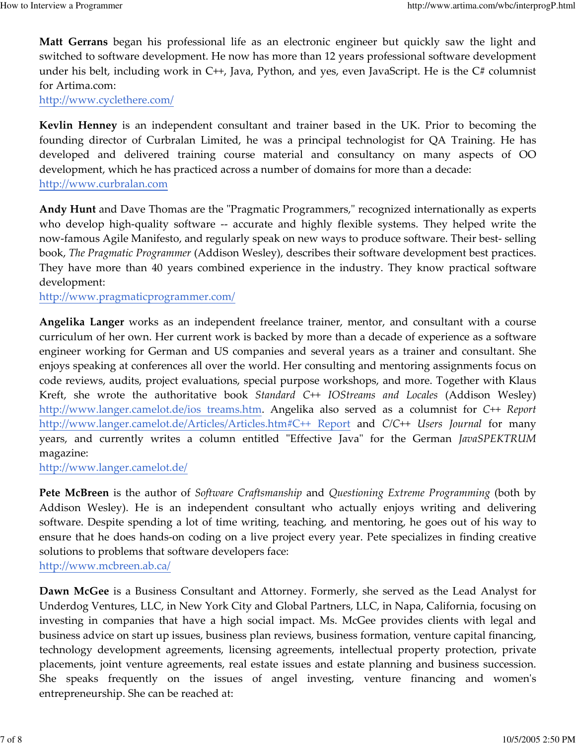Matt Gerrans began his professional life as an electronic engineer but quickly saw the light and switched to software development. He now has more than 12 years professional software development under his belt, including work in C++, Java, Python, and yes, even JavaScript. He is the C# columnist for Artima.com:

http://www.cyclethere.com/

Kevlin Henney is an independent consultant and trainer based in the UK. Prior to becoming the founding director of Curbralan Limited, he was a principal technologist for QA Training. He has developed and delivered training course material and consultancy on many aspects of OO development, which he has practiced across a number of domains for more than a decade: http://www.curbralan.com

Andy Hunt and Dave Thomas are the "Pragmatic Programmers," recognized internationally as experts who develop high-quality software -- accurate and highly flexible systems. They helped write the now-famous Agile Manifesto, and regularly speak on new ways to produce software. Their best- selling book, The Pragmatic Programmer (Addison Wesley), describes their software development best practices. They have more than 40 years combined experience in the industry. They know practical software development:

http://www.pragmaticprogrammer.com/

Angelika Langer works as an independent freelance trainer, mentor, and consultant with a course curriculum of her own. Her current work is backed by more than a decade of experience as a software engineer working for German and US companies and several years as a trainer and consultant. She enjoys speaking at conferences all over the world. Her consulting and mentoring assignments focus on code reviews, audits, project evaluations, special purpose workshops, and more. Together with Klaus Kreft, she wrote the authoritative book Standard C++ IOStreams and Locales (Addison Wesley) http://www.langer.camelot.de/ios treams.htm. Angelika also served as a columnist for C++ Report http://www.langer.camelot.de/Articles/Articles.htm#C++ Report and C/C++ Users Journal for many years, and currently writes a column entitled "Effective Java" for the German JavaSPEKTRUM magazine:

http://www.langer.camelot.de/

Pete McBreen is the author of Software Craftsmanship and Questioning Extreme Programming (both by Addison Wesley). He is an independent consultant who actually enjoys writing and delivering software. Despite spending a lot of time writing, teaching, and mentoring, he goes out of his way to ensure that he does hands-on coding on a live project every year. Pete specializes in finding creative solutions to problems that software developers face: http://www.mcbreen.ab.ca/

Dawn McGee is a Business Consultant and Attorney. Formerly, she served as the Lead Analyst for Underdog Ventures, LLC, in New York City and Global Partners, LLC, in Napa, California, focusing on investing in companies that have a high social impact. Ms. McGee provides clients with legal and business advice on start up issues, business plan reviews, business formation, venture capital financing, technology development agreements, licensing agreements, intellectual property protection, private placements, joint venture agreements, real estate issues and estate planning and business succession. She speaks frequently on the issues of angel investing, venture financing and women's entrepreneurship. She can be reached at: